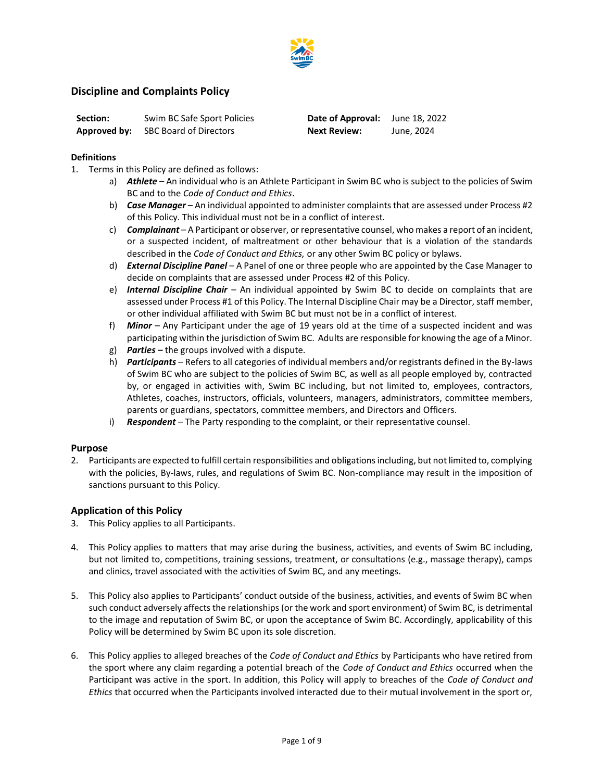

# **Discipline and Complaints Policy**

| Section: | Swim BC Safe Sport Policies                | Date of Approval: June 18, 2022 |            |
|----------|--------------------------------------------|---------------------------------|------------|
|          | <b>Approved by:</b> SBC Board of Directors | <b>Next Review:</b>             | June, 2024 |

## **Definitions**

- 1. Terms in this Policy are defined as follows:
	- a) *Athlete*  An individual who is an Athlete Participant in Swim BC who is subject to the policies of Swim BC and to the *Code of Conduct and Ethics*.
	- b) *Case Manager* An individual appointed to administer complaints that are assessed under Process #2 of this Policy. This individual must not be in a conflict of interest.
	- c) *Complainant* A Participant or observer, or representative counsel, who makes a report of an incident, or a suspected incident, of maltreatment or other behaviour that is a violation of the standards described in the *Code of Conduct and Ethics,* or any other Swim BC policy or bylaws.
	- d) *External Discipline Panel* A Panel of one or three people who are appointed by the Case Manager to decide on complaints that are assessed under Process #2 of this Policy.
	- e) *Internal Discipline Chair* An individual appointed by Swim BC to decide on complaints that are assessed under Process #1 of this Policy. The Internal Discipline Chair may be a Director, staff member, or other individual affiliated with Swim BC but must not be in a conflict of interest.
	- f) *Minor* Any Participant under the age of 19 years old at the time of a suspected incident and was participating within the jurisdiction of Swim BC. Adults are responsible for knowing the age of a Minor*.*
	- g) *Parties –* the groups involved with a dispute.
	- h) *Participants*  Refers to all categories of individual members and/or registrants defined in the By-laws of Swim BC who are subject to the policies of Swim BC, as well as all people employed by, contracted by, or engaged in activities with, Swim BC including, but not limited to, employees, contractors, Athletes, coaches, instructors, officials, volunteers, managers, administrators, committee members, parents or guardians, spectators, committee members, and Directors and Officers.
	- i) *Respondent* The Party responding to the complaint, or their representative counsel.

# **Purpose**

2. Participants are expected to fulfill certain responsibilities and obligations including, but not limited to, complying with the policies, By-laws, rules, and regulations of Swim BC. Non-compliance may result in the imposition of sanctions pursuant to this Policy.

# **Application of this Policy**

- 3. This Policy applies to all Participants.
- 4. This Policy applies to matters that may arise during the business, activities, and events of Swim BC including, but not limited to, competitions, training sessions, treatment, or consultations (e.g., massage therapy), camps and clinics, travel associated with the activities of Swim BC, and any meetings.
- 5. This Policy also applies to Participants' conduct outside of the business, activities, and events of Swim BC when such conduct adversely affects the relationships (or the work and sport environment) of Swim BC, is detrimental to the image and reputation of Swim BC, or upon the acceptance of Swim BC. Accordingly, applicability of this Policy will be determined by Swim BC upon its sole discretion.
- 6. This Policy applies to alleged breaches of the *Code of Conduct and Ethics* by Participants who have retired from the sport where any claim regarding a potential breach of the *Code of Conduct and Ethics* occurred when the Participant was active in the sport. In addition, this Policy will apply to breaches of the *Code of Conduct and Ethics* that occurred when the Participants involved interacted due to their mutual involvement in the sport or,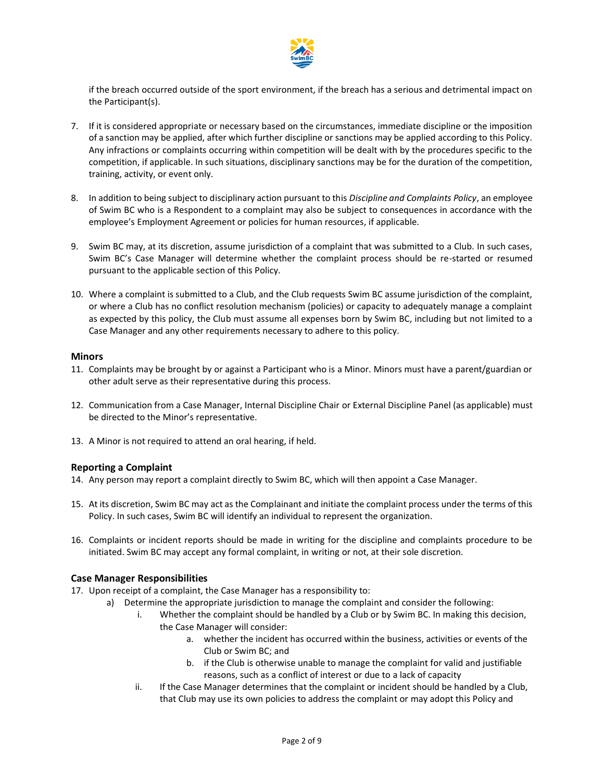

if the breach occurred outside of the sport environment, if the breach has a serious and detrimental impact on the Participant(s).

- 7. If it is considered appropriate or necessary based on the circumstances, immediate discipline or the imposition of a sanction may be applied, after which further discipline or sanctions may be applied according to this Policy. Any infractions or complaints occurring within competition will be dealt with by the procedures specific to the competition, if applicable. In such situations, disciplinary sanctions may be for the duration of the competition, training, activity, or event only.
- 8. In addition to being subject to disciplinary action pursuant to this *Discipline and Complaints Policy*, an employee of Swim BC who is a Respondent to a complaint may also be subject to consequences in accordance with the employee's Employment Agreement or policies for human resources, if applicable.
- 9. Swim BC may, at its discretion, assume jurisdiction of a complaint that was submitted to a Club. In such cases, Swim BC's Case Manager will determine whether the complaint process should be re-started or resumed pursuant to the applicable section of this Policy.
- 10. Where a complaint is submitted to a Club, and the Club requests Swim BC assume jurisdiction of the complaint, or where a Club has no conflict resolution mechanism (policies) or capacity to adequately manage a complaint as expected by this policy, the Club must assume all expenses born by Swim BC, including but not limited to a Case Manager and any other requirements necessary to adhere to this policy.

## **Minors**

- 11. Complaints may be brought by or against a Participant who is a Minor. Minors must have a parent/guardian or other adult serve as their representative during this process.
- 12. Communication from a Case Manager, Internal Discipline Chair or External Discipline Panel (as applicable) must be directed to the Minor's representative.
- 13. A Minor is not required to attend an oral hearing, if held.

# **Reporting a Complaint**

- 14. Any person may report a complaint directly to Swim BC, which will then appoint a Case Manager.
- 15. At its discretion, Swim BC may act as the Complainant and initiate the complaint process under the terms of this Policy. In such cases, Swim BC will identify an individual to represent the organization.
- 16. Complaints or incident reports should be made in writing for the discipline and complaints procedure to be initiated. Swim BC may accept any formal complaint, in writing or not, at their sole discretion.

# **Case Manager Responsibilities**

- 17. Upon receipt of a complaint, the Case Manager has a responsibility to:
	- a) Determine the appropriate jurisdiction to manage the complaint and consider the following:
		- i. Whether the complaint should be handled by a Club or by Swim BC. In making this decision, the Case Manager will consider:
			- a. whether the incident has occurred within the business, activities or events of the Club or Swim BC; and
			- b. if the Club is otherwise unable to manage the complaint for valid and justifiable reasons, such as a conflict of interest or due to a lack of capacity
		- ii. If the Case Manager determines that the complaint or incident should be handled by a Club, that Club may use its own policies to address the complaint or may adopt this Policy and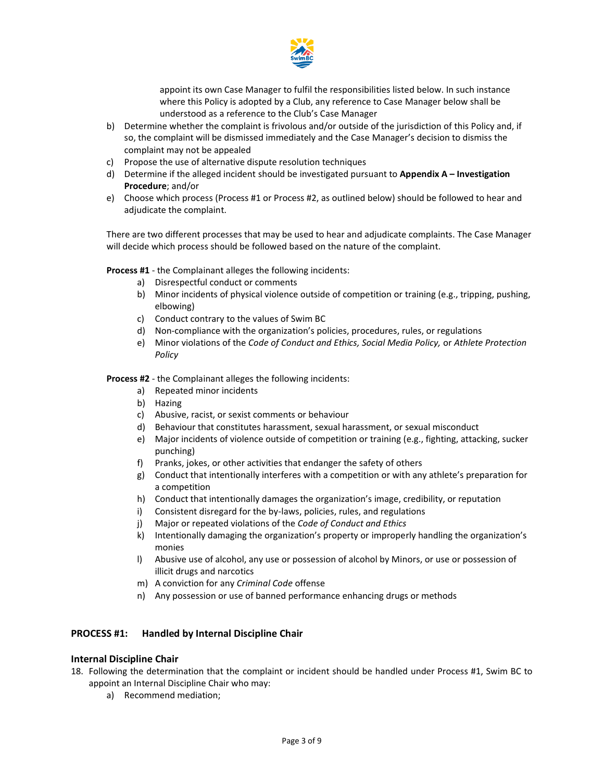

appoint its own Case Manager to fulfil the responsibilities listed below. In such instance where this Policy is adopted by a Club, any reference to Case Manager below shall be understood as a reference to the Club's Case Manager

- b) Determine whether the complaint is frivolous and/or outside of the jurisdiction of this Policy and, if so, the complaint will be dismissed immediately and the Case Manager's decision to dismiss the complaint may not be appealed
- c) Propose the use of alternative dispute resolution techniques
- d) Determine if the alleged incident should be investigated pursuant to **Appendix A – Investigation Procedure**; and/or
- e) Choose which process (Process #1 or Process #2, as outlined below) should be followed to hear and adjudicate the complaint.

There are two different processes that may be used to hear and adjudicate complaints. The Case Manager will decide which process should be followed based on the nature of the complaint.

**Process #1** - the Complainant alleges the following incidents:

- a) Disrespectful conduct or comments
- b) Minor incidents of physical violence outside of competition or training (e.g., tripping, pushing, elbowing)
- c) Conduct contrary to the values of Swim BC
- d) Non-compliance with the organization's policies, procedures, rules, or regulations
- e) Minor violations of the *Code of Conduct and Ethics, Social Media Policy,* or *Athlete Protection Policy*

**Process #2** - the Complainant alleges the following incidents:

- a) Repeated minor incidents
- b) Hazing
- c) Abusive, racist, or sexist comments or behaviour
- d) Behaviour that constitutes harassment, sexual harassment, or sexual misconduct
- e) Major incidents of violence outside of competition or training (e.g., fighting, attacking, sucker punching)
- f) Pranks, jokes, or other activities that endanger the safety of others
- g) Conduct that intentionally interferes with a competition or with any athlete's preparation for a competition
- h) Conduct that intentionally damages the organization's image, credibility, or reputation
- i) Consistent disregard for the by-laws, policies, rules, and regulations
- j) Major or repeated violations of the *Code of Conduct and Ethics*
- k) Intentionally damaging the organization's property or improperly handling the organization's monies
- l) Abusive use of alcohol, any use or possession of alcohol by Minors, or use or possession of illicit drugs and narcotics
- m) A conviction for any *Criminal Code* offense
- n) Any possession or use of banned performance enhancing drugs or methods

# **PROCESS #1: Handled by Internal Discipline Chair**

#### **Internal Discipline Chair**

- 18. Following the determination that the complaint or incident should be handled under Process #1, Swim BC to appoint an Internal Discipline Chair who may:
	- a) Recommend mediation;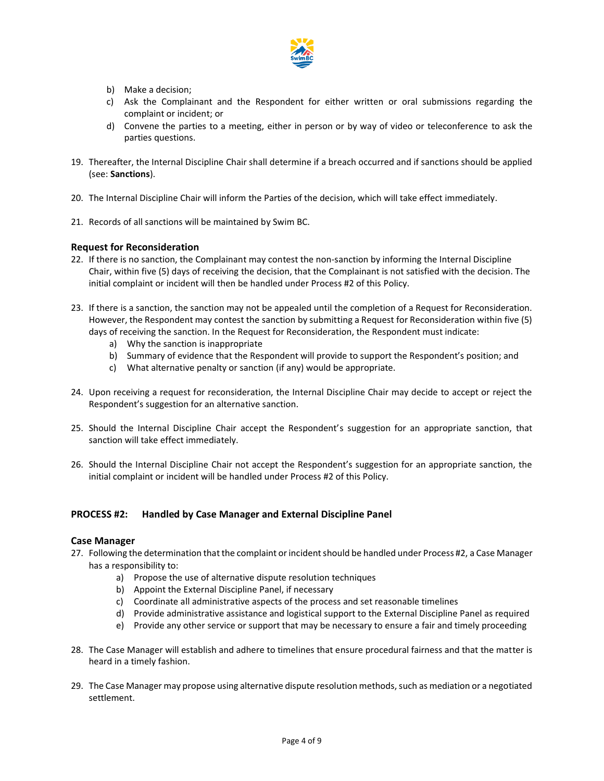

- b) Make a decision;
- c) Ask the Complainant and the Respondent for either written or oral submissions regarding the complaint or incident; or
- d) Convene the parties to a meeting, either in person or by way of video or teleconference to ask the parties questions.
- 19. Thereafter, the Internal Discipline Chair shall determine if a breach occurred and if sanctions should be applied (see: **Sanctions**).
- 20. The Internal Discipline Chair will inform the Parties of the decision, which will take effect immediately.
- 21. Records of all sanctions will be maintained by Swim BC.

## **Request for Reconsideration**

- 22. If there is no sanction, the Complainant may contest the non-sanction by informing the Internal Discipline Chair, within five (5) days of receiving the decision, that the Complainant is not satisfied with the decision. The initial complaint or incident will then be handled under Process #2 of this Policy.
- 23. If there is a sanction, the sanction may not be appealed until the completion of a Request for Reconsideration. However, the Respondent may contest the sanction by submitting a Request for Reconsideration within five (5) days of receiving the sanction. In the Request for Reconsideration, the Respondent must indicate:
	- a) Why the sanction is inappropriate
	- b) Summary of evidence that the Respondent will provide to support the Respondent's position; and
	- c) What alternative penalty or sanction (if any) would be appropriate.
- 24. Upon receiving a request for reconsideration, the Internal Discipline Chair may decide to accept or reject the Respondent's suggestion for an alternative sanction.
- 25. Should the Internal Discipline Chair accept the Respondent's suggestion for an appropriate sanction, that sanction will take effect immediately.
- 26. Should the Internal Discipline Chair not accept the Respondent's suggestion for an appropriate sanction, the initial complaint or incident will be handled under Process #2 of this Policy.

#### **PROCESS #2: Handled by Case Manager and External Discipline Panel**

#### **Case Manager**

- 27. Following the determination that the complaint or incident should be handled under Process #2, a Case Manager has a responsibility to:
	- a) Propose the use of alternative dispute resolution techniques
	- b) Appoint the External Discipline Panel, if necessary
	- c) Coordinate all administrative aspects of the process and set reasonable timelines
	- d) Provide administrative assistance and logistical support to the External Discipline Panel as required
	- e) Provide any other service or support that may be necessary to ensure a fair and timely proceeding
- 28. The Case Manager will establish and adhere to timelines that ensure procedural fairness and that the matter is heard in a timely fashion.
- 29. The Case Manager may propose using alternative dispute resolution methods, such as mediation or a negotiated settlement.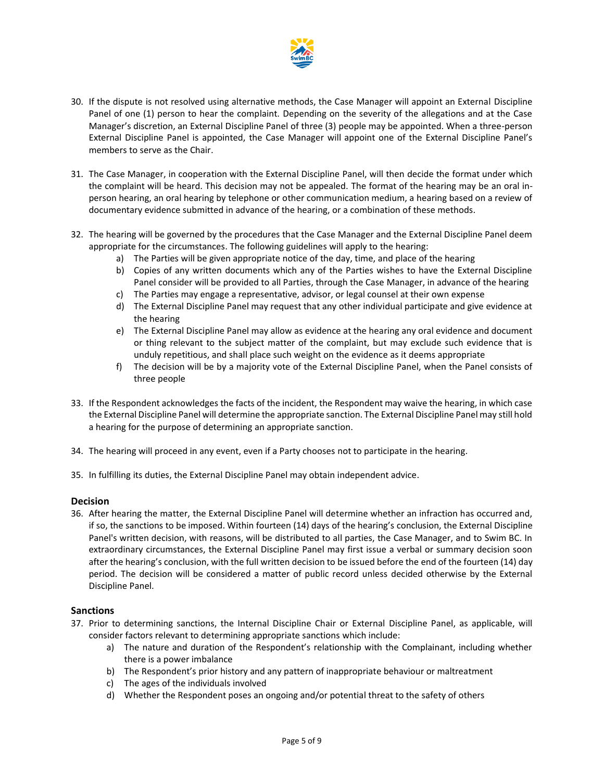

- 30. If the dispute is not resolved using alternative methods, the Case Manager will appoint an External Discipline Panel of one (1) person to hear the complaint. Depending on the severity of the allegations and at the Case Manager's discretion, an External Discipline Panel of three (3) people may be appointed. When a three-person External Discipline Panel is appointed, the Case Manager will appoint one of the External Discipline Panel's members to serve as the Chair.
- 31. The Case Manager, in cooperation with the External Discipline Panel, will then decide the format under which the complaint will be heard. This decision may not be appealed. The format of the hearing may be an oral inperson hearing, an oral hearing by telephone or other communication medium, a hearing based on a review of documentary evidence submitted in advance of the hearing, or a combination of these methods.
- 32. The hearing will be governed by the procedures that the Case Manager and the External Discipline Panel deem appropriate for the circumstances. The following guidelines will apply to the hearing:
	- a) The Parties will be given appropriate notice of the day, time, and place of the hearing
	- b) Copies of any written documents which any of the Parties wishes to have the External Discipline Panel consider will be provided to all Parties, through the Case Manager, in advance of the hearing
	- c) The Parties may engage a representative, advisor, or legal counsel at their own expense
	- d) The External Discipline Panel may request that any other individual participate and give evidence at the hearing
	- e) The External Discipline Panel may allow as evidence at the hearing any oral evidence and document or thing relevant to the subject matter of the complaint, but may exclude such evidence that is unduly repetitious, and shall place such weight on the evidence as it deems appropriate
	- f) The decision will be by a majority vote of the External Discipline Panel, when the Panel consists of three people
- 33. If the Respondent acknowledges the facts of the incident, the Respondent may waive the hearing, in which case the External Discipline Panel will determine the appropriate sanction. The External Discipline Panel may still hold a hearing for the purpose of determining an appropriate sanction.
- 34. The hearing will proceed in any event, even if a Party chooses not to participate in the hearing.
- 35. In fulfilling its duties, the External Discipline Panel may obtain independent advice.

# **Decision**

36. After hearing the matter, the External Discipline Panel will determine whether an infraction has occurred and, if so, the sanctions to be imposed. Within fourteen (14) days of the hearing's conclusion, the External Discipline Panel's written decision, with reasons, will be distributed to all parties, the Case Manager, and to Swim BC. In extraordinary circumstances, the External Discipline Panel may first issue a verbal or summary decision soon after the hearing's conclusion, with the full written decision to be issued before the end of the fourteen (14) day period. The decision will be considered a matter of public record unless decided otherwise by the External Discipline Panel.

#### **Sanctions**

- 37. Prior to determining sanctions, the Internal Discipline Chair or External Discipline Panel, as applicable, will consider factors relevant to determining appropriate sanctions which include:
	- a) The nature and duration of the Respondent's relationship with the Complainant, including whether there is a power imbalance
	- b) The Respondent's prior history and any pattern of inappropriate behaviour or maltreatment
	- c) The ages of the individuals involved
	- d) Whether the Respondent poses an ongoing and/or potential threat to the safety of others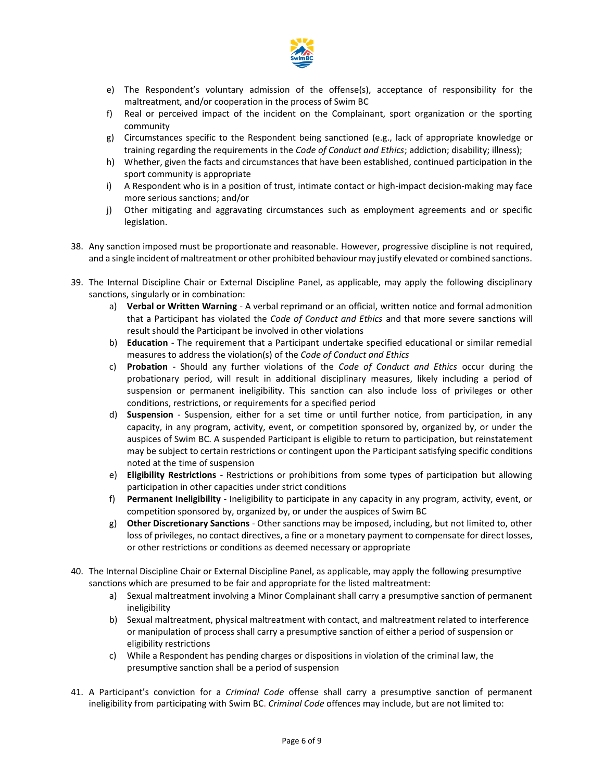

- e) The Respondent's voluntary admission of the offense(s), acceptance of responsibility for the maltreatment, and/or cooperation in the process of Swim BC
- f) Real or perceived impact of the incident on the Complainant, sport organization or the sporting community
- g) Circumstances specific to the Respondent being sanctioned (e.g., lack of appropriate knowledge or training regarding the requirements in the *Code of Conduct and Ethics*; addiction; disability; illness);
- h) Whether, given the facts and circumstances that have been established, continued participation in the sport community is appropriate
- i) A Respondent who is in a position of trust, intimate contact or high-impact decision-making may face more serious sanctions; and/or
- j) Other mitigating and aggravating circumstances such as employment agreements and or specific legislation.
- 38. Any sanction imposed must be proportionate and reasonable. However, progressive discipline is not required, and a single incident of maltreatment or other prohibited behaviour may justify elevated or combined sanctions.
- 39. The Internal Discipline Chair or External Discipline Panel, as applicable, may apply the following disciplinary sanctions, singularly or in combination:
	- a) **Verbal or Written Warning** A verbal reprimand or an official, written notice and formal admonition that a Participant has violated the *Code of Conduct and Ethics* and that more severe sanctions will result should the Participant be involved in other violations
	- b) **Education** The requirement that a Participant undertake specified educational or similar remedial measures to address the violation(s) of the *Code of Conduct and Ethics*
	- c) **Probation** Should any further violations of the *Code of Conduct and Ethics* occur during the probationary period, will result in additional disciplinary measures, likely including a period of suspension or permanent ineligibility. This sanction can also include loss of privileges or other conditions, restrictions, or requirements for a specified period
	- d) **Suspension** Suspension, either for a set time or until further notice, from participation, in any capacity, in any program, activity, event, or competition sponsored by, organized by, or under the auspices of Swim BC. A suspended Participant is eligible to return to participation, but reinstatement may be subject to certain restrictions or contingent upon the Participant satisfying specific conditions noted at the time of suspension
	- e) **Eligibility Restrictions** Restrictions or prohibitions from some types of participation but allowing participation in other capacities under strict conditions
	- f) **Permanent Ineligibility** Ineligibility to participate in any capacity in any program, activity, event, or competition sponsored by, organized by, or under the auspices of Swim BC
	- g) **Other Discretionary Sanctions** Other sanctions may be imposed, including, but not limited to, other loss of privileges, no contact directives, a fine or a monetary payment to compensate for direct losses, or other restrictions or conditions as deemed necessary or appropriate
- 40. The Internal Discipline Chair or External Discipline Panel, as applicable, may apply the following presumptive sanctions which are presumed to be fair and appropriate for the listed maltreatment:
	- a) Sexual maltreatment involving a Minor Complainant shall carry a presumptive sanction of permanent ineligibility
	- b) Sexual maltreatment, physical maltreatment with contact, and maltreatment related to interference or manipulation of process shall carry a presumptive sanction of either a period of suspension or eligibility restrictions
	- c) While a Respondent has pending charges or dispositions in violation of the criminal law, the presumptive sanction shall be a period of suspension
- 41. A Participant's conviction for a *Criminal Code* offense shall carry a presumptive sanction of permanent ineligibility from participating with Swim BC. *Criminal Code* offences may include, but are not limited to: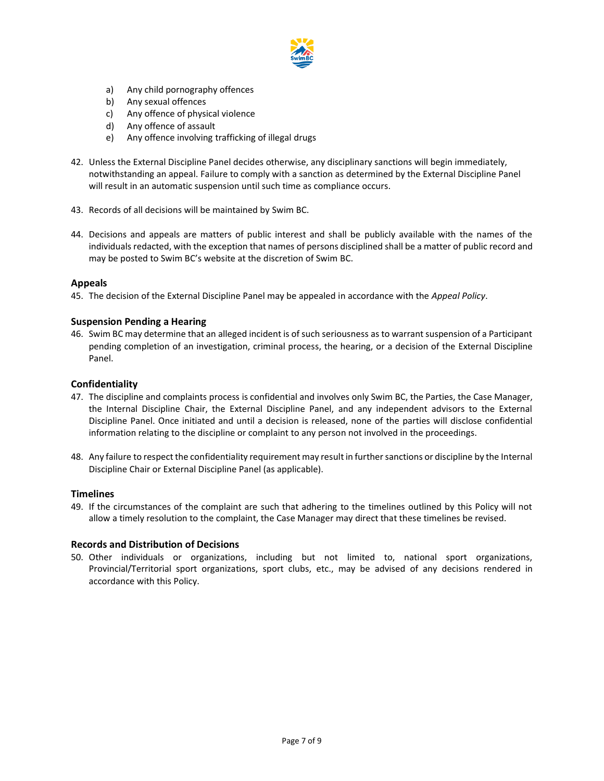

- a) Any child pornography offences
- b) Any sexual offences
- c) Any offence of physical violence
- d) Any offence of assault
- e) Any offence involving trafficking of illegal drugs
- 42. Unless the External Discipline Panel decides otherwise, any disciplinary sanctions will begin immediately, notwithstanding an appeal. Failure to comply with a sanction as determined by the External Discipline Panel will result in an automatic suspension until such time as compliance occurs.
- 43. Records of all decisions will be maintained by Swim BC.
- 44. Decisions and appeals are matters of public interest and shall be publicly available with the names of the individuals redacted, with the exception that names of persons disciplined shall be a matter of public record and may be posted to Swim BC's website at the discretion of Swim BC.

## **Appeals**

45. The decision of the External Discipline Panel may be appealed in accordance with the *Appeal Policy*.

## **Suspension Pending a Hearing**

46. Swim BC may determine that an alleged incident is of such seriousness as to warrant suspension of a Participant pending completion of an investigation, criminal process, the hearing, or a decision of the External Discipline Panel.

## **Confidentiality**

- 47. The discipline and complaints process is confidential and involves only Swim BC, the Parties, the Case Manager, the Internal Discipline Chair, the External Discipline Panel, and any independent advisors to the External Discipline Panel. Once initiated and until a decision is released, none of the parties will disclose confidential information relating to the discipline or complaint to any person not involved in the proceedings.
- 48. Any failure to respect the confidentiality requirement may result in further sanctions or discipline by the Internal Discipline Chair or External Discipline Panel (as applicable).

#### **Timelines**

49. If the circumstances of the complaint are such that adhering to the timelines outlined by this Policy will not allow a timely resolution to the complaint, the Case Manager may direct that these timelines be revised.

#### **Records and Distribution of Decisions**

50. Other individuals or organizations, including but not limited to, national sport organizations, Provincial/Territorial sport organizations, sport clubs, etc., may be advised of any decisions rendered in accordance with this Policy.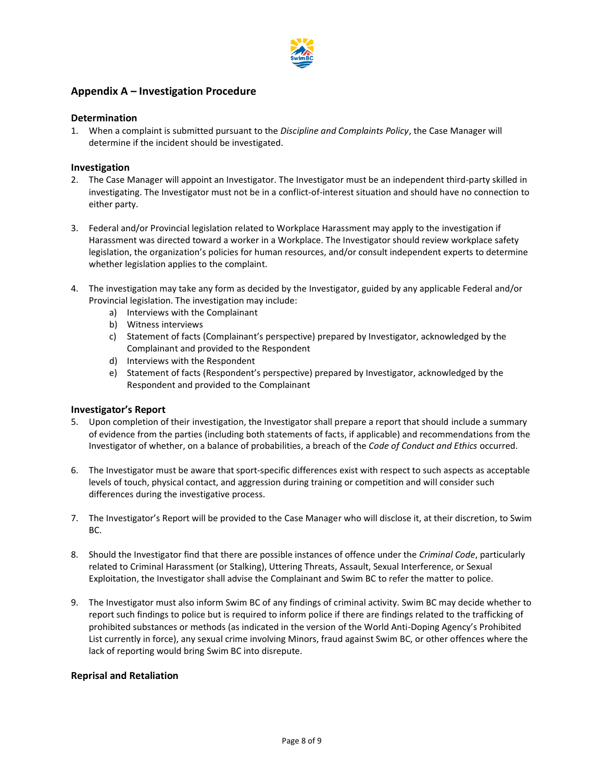

# **Appendix A – Investigation Procedure**

## **Determination**

1. When a complaint is submitted pursuant to the *Discipline and Complaints Policy*, the Case Manager will determine if the incident should be investigated.

# **Investigation**

- 2. The Case Manager will appoint an Investigator. The Investigator must be an independent third-party skilled in investigating. The Investigator must not be in a conflict-of-interest situation and should have no connection to either party.
- 3. Federal and/or Provincial legislation related to Workplace Harassment may apply to the investigation if Harassment was directed toward a worker in a Workplace. The Investigator should review workplace safety legislation, the organization's policies for human resources, and/or consult independent experts to determine whether legislation applies to the complaint.
- 4. The investigation may take any form as decided by the Investigator, guided by any applicable Federal and/or Provincial legislation. The investigation may include:
	- a) Interviews with the Complainant
	- b) Witness interviews
	- c) Statement of facts (Complainant's perspective) prepared by Investigator, acknowledged by the Complainant and provided to the Respondent
	- d) Interviews with the Respondent
	- e) Statement of facts (Respondent's perspective) prepared by Investigator, acknowledged by the Respondent and provided to the Complainant

# **Investigator's Report**

- 5. Upon completion of their investigation, the Investigator shall prepare a report that should include a summary of evidence from the parties (including both statements of facts, if applicable) and recommendations from the Investigator of whether, on a balance of probabilities, a breach of the *Code of Conduct and Ethics* occurred.
- 6. The Investigator must be aware that sport-specific differences exist with respect to such aspects as acceptable levels of touch, physical contact, and aggression during training or competition and will consider such differences during the investigative process.
- 7. The Investigator's Report will be provided to the Case Manager who will disclose it, at their discretion, to Swim BC.
- 8. Should the Investigator find that there are possible instances of offence under the *Criminal Code*, particularly related to Criminal Harassment (or Stalking), Uttering Threats, Assault, Sexual Interference, or Sexual Exploitation, the Investigator shall advise the Complainant and Swim BC to refer the matter to police.
- 9. The Investigator must also inform Swim BC of any findings of criminal activity. Swim BC may decide whether to report such findings to police but is required to inform police if there are findings related to the trafficking of prohibited substances or methods (as indicated in the version of the World Anti-Doping Agency's Prohibited List currently in force), any sexual crime involving Minors, fraud against Swim BC, or other offences where the lack of reporting would bring Swim BC into disrepute.

# **Reprisal and Retaliation**